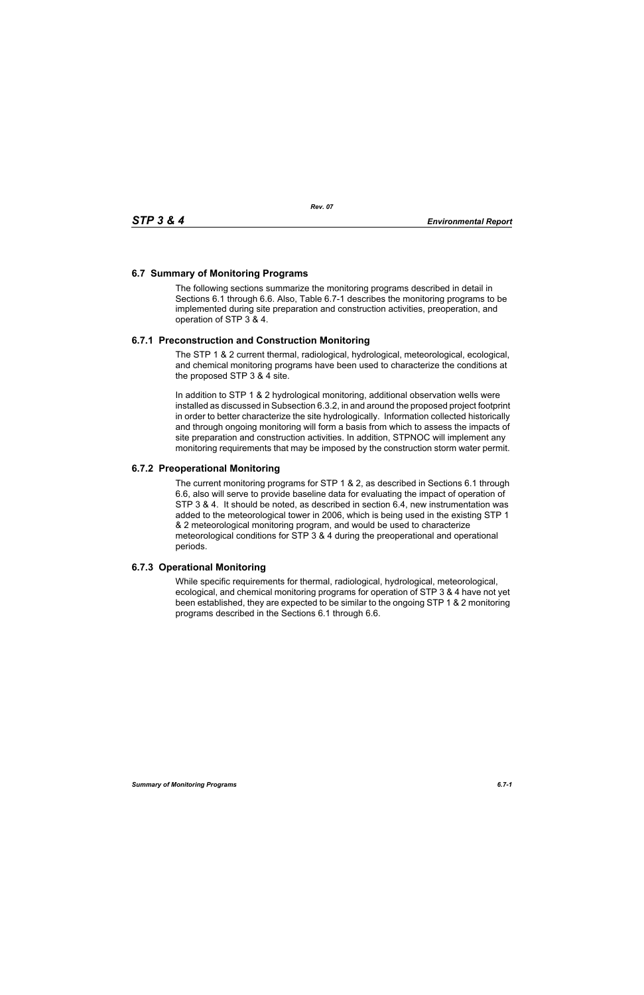## **6.7 Summary of Monitoring Programs**

The following sections summarize the monitoring programs described in detail in Sections 6.1 through 6.6. Also, Table 6.7-1 describes the monitoring programs to be implemented during site preparation and construction activities, preoperation, and operation of STP 3 & 4.

## **6.7.1 Preconstruction and Construction Monitoring**

The STP 1 & 2 current thermal, radiological, hydrological, meteorological, ecological, and chemical monitoring programs have been used to characterize the conditions at the proposed STP 3 & 4 site.

In addition to STP 1 & 2 hydrological monitoring, additional observation wells were installed as discussed in Subsection 6.3.2, in and around the proposed project footprint in order to better characterize the site hydrologically. Information collected historically and through ongoing monitoring will form a basis from which to assess the impacts of site preparation and construction activities. In addition, STPNOC will implement any monitoring requirements that may be imposed by the construction storm water permit.

## **6.7.2 Preoperational Monitoring**

The current monitoring programs for STP 1 & 2, as described in Sections 6.1 through 6.6, also will serve to provide baseline data for evaluating the impact of operation of STP 3 & 4. It should be noted, as described in section 6.4, new instrumentation was added to the meteorological tower in 2006, which is being used in the existing STP 1 & 2 meteorological monitoring program, and would be used to characterize meteorological conditions for STP 3 & 4 during the preoperational and operational periods.

## **6.7.3 Operational Monitoring**

While specific requirements for thermal, radiological, hydrological, meteorological, ecological, and chemical monitoring programs for operation of STP 3 & 4 have not yet been established, they are expected to be similar to the ongoing STP 1 & 2 monitoring programs described in the Sections 6.1 through 6.6.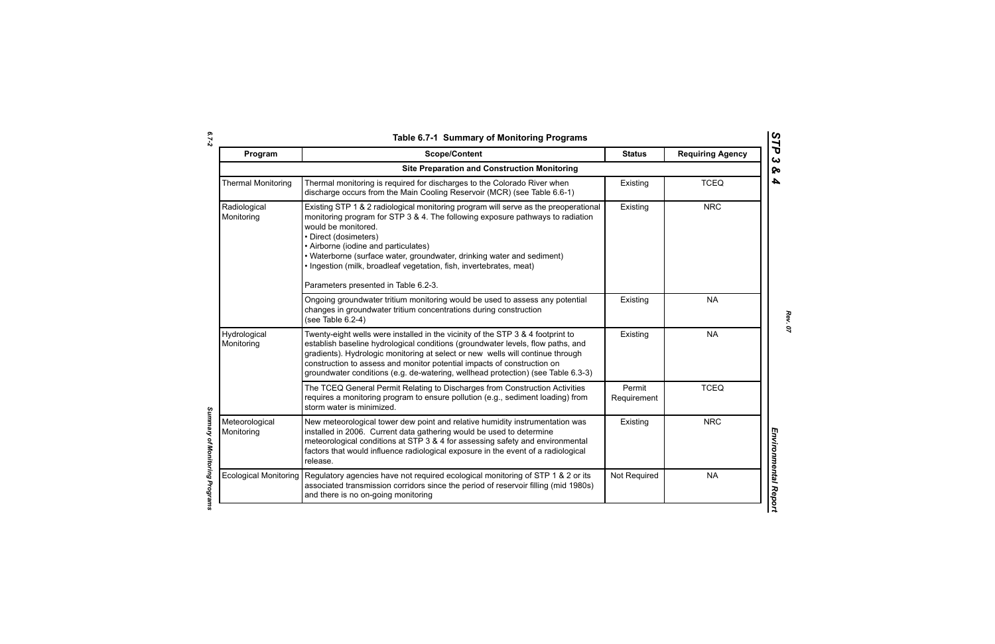| ۰.     |  |
|--------|--|
|        |  |
| $\sim$ |  |

*Summary of Monitoring Programs* 

Summary of Monitoring Programs

| Program                      | <b>Scope/Content</b>                                                                                                                                                                                                                                                                                                                                                                                                                                   | <b>Status</b>         | <b>Requiring Agency</b> |
|------------------------------|--------------------------------------------------------------------------------------------------------------------------------------------------------------------------------------------------------------------------------------------------------------------------------------------------------------------------------------------------------------------------------------------------------------------------------------------------------|-----------------------|-------------------------|
|                              | <b>Site Preparation and Construction Monitoring</b>                                                                                                                                                                                                                                                                                                                                                                                                    |                       |                         |
| <b>Thermal Monitoring</b>    | Thermal monitoring is required for discharges to the Colorado River when<br>discharge occurs from the Main Cooling Reservoir (MCR) (see Table 6.6-1)                                                                                                                                                                                                                                                                                                   | Existing              | <b>TCEQ</b>             |
| Radiological<br>Monitoring   | Existing STP 1 & 2 radiological monitoring program will serve as the preoperational<br>monitoring program for STP 3 & 4. The following exposure pathways to radiation<br>would be monitored.<br>• Direct (dosimeters)<br>• Airborne (iodine and particulates)<br>• Waterborne (surface water, groundwater, drinking water and sediment)<br>. Ingestion (milk, broadleaf vegetation, fish, invertebrates, meat)<br>Parameters presented in Table 6.2-3. | Existing              | <b>NRC</b>              |
|                              | Ongoing groundwater tritium monitoring would be used to assess any potential<br>changes in groundwater tritium concentrations during construction<br>(see Table 6.2-4)                                                                                                                                                                                                                                                                                 | Existing              | <b>NA</b>               |
| Hydrological<br>Monitoring   | Twenty-eight wells were installed in the vicinity of the STP 3 & 4 footprint to<br>establish baseline hydrological conditions (groundwater levels, flow paths, and<br>gradients). Hydrologic monitoring at select or new wells will continue through<br>construction to assess and monitor potential impacts of construction on<br>groundwater conditions (e.g. de-watering, wellhead protection) (see Table 6.3-3)                                    | Existing              | <b>NA</b>               |
|                              | The TCEQ General Permit Relating to Discharges from Construction Activities<br>requires a monitoring program to ensure pollution (e.g., sediment loading) from<br>storm water is minimized.                                                                                                                                                                                                                                                            | Permit<br>Requirement | <b>TCEQ</b>             |
| Meteorological<br>Monitoring | New meteorological tower dew point and relative humidity instrumentation was<br>installed in 2006. Current data gathering would be used to determine<br>meteorological conditions at STP 3 & 4 for assessing safety and environmental<br>factors that would influence radiological exposure in the event of a radiological<br>release.                                                                                                                 | Existing              | <b>NRC</b>              |
| <b>Ecological Monitoring</b> | Regulatory agencies have not required ecological monitoring of STP 1 & 2 or its<br>associated transmission corridors since the period of reservoir filling (mid 1980s)<br>and there is no on-going monitoring                                                                                                                                                                                                                                          | Not Required          | <b>NA</b>               |

*STP 3 & 4*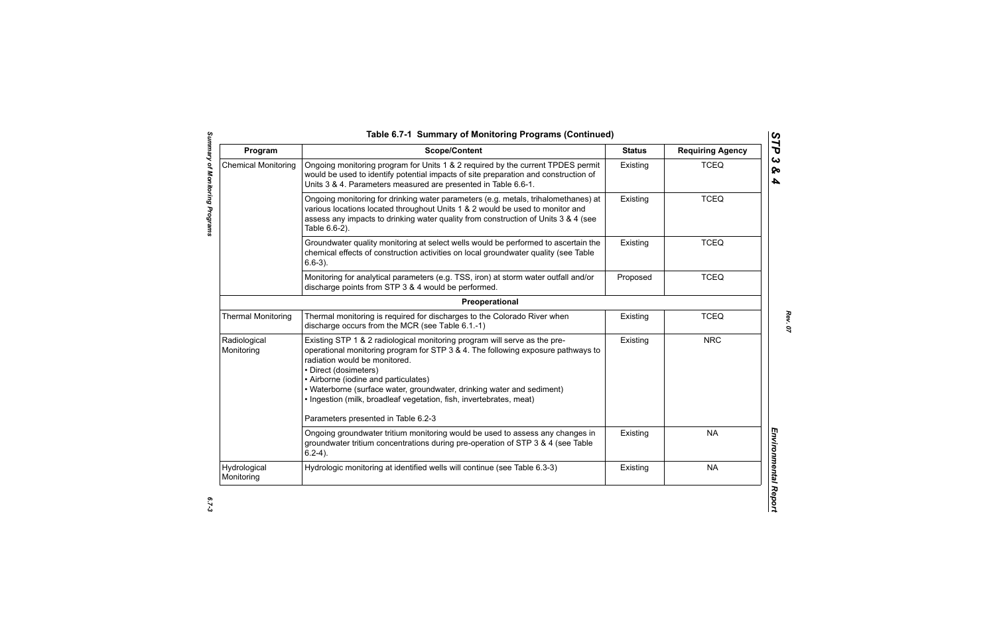| Program                    | <b>Scope/Content</b>                                                                                                                                                                                                                                                                                                                                                                                                                                    | <b>Status</b> | <b>Requiring Agency</b> |
|----------------------------|---------------------------------------------------------------------------------------------------------------------------------------------------------------------------------------------------------------------------------------------------------------------------------------------------------------------------------------------------------------------------------------------------------------------------------------------------------|---------------|-------------------------|
| <b>Chemical Monitoring</b> | Ongoing monitoring program for Units 1 & 2 required by the current TPDES permit<br>would be used to identify potential impacts of site preparation and construction of<br>Units 3 & 4. Parameters measured are presented in Table 6.6-1.                                                                                                                                                                                                                | Existing      | <b>TCEQ</b>             |
|                            | Ongoing monitoring for drinking water parameters (e.g. metals, trihalomethanes) at<br>various locations located throughout Units 1 & 2 would be used to monitor and<br>assess any impacts to drinking water quality from construction of Units 3 & 4 (see<br>Table 6.6-2).                                                                                                                                                                              | Existing      | <b>TCEQ</b>             |
|                            | Groundwater quality monitoring at select wells would be performed to ascertain the<br>chemical effects of construction activities on local groundwater quality (see Table<br>$6.6-3$ ).                                                                                                                                                                                                                                                                 | Existing      | <b>TCEQ</b>             |
|                            | Monitoring for analytical parameters (e.g. TSS, iron) at storm water outfall and/or<br>discharge points from STP 3 & 4 would be performed.                                                                                                                                                                                                                                                                                                              | Proposed      | <b>TCEQ</b>             |
|                            | Preoperational                                                                                                                                                                                                                                                                                                                                                                                                                                          |               |                         |
| <b>Thermal Monitoring</b>  | Thermal monitoring is required for discharges to the Colorado River when<br>discharge occurs from the MCR (see Table 6.1.-1)                                                                                                                                                                                                                                                                                                                            | Existing      | <b>TCEQ</b>             |
| Radiological<br>Monitoring | Existing STP 1 & 2 radiological monitoring program will serve as the pre-<br>operational monitoring program for STP 3 & 4. The following exposure pathways to<br>radiation would be monitored.<br>• Direct (dosimeters)<br>• Airborne (iodine and particulates)<br>• Waterborne (surface water, groundwater, drinking water and sediment)<br>· Ingestion (milk, broadleaf vegetation, fish, invertebrates, meat)<br>Parameters presented in Table 6.2-3 | Existing      | <b>NRC</b>              |
|                            | Ongoing groundwater tritium monitoring would be used to assess any changes in<br>groundwater tritium concentrations during pre-operation of STP 3 & 4 (see Table<br>$6.2-4$ ).                                                                                                                                                                                                                                                                          | Existing      | <b>NA</b>               |
| Hydrological<br>Monitoring | Hydrologic monitoring at identified wells will continue (see Table 6.3-3)                                                                                                                                                                                                                                                                                                                                                                               | Existing      | <b>NA</b>               |

*STP 3 & 4*

 $6.7 - 3$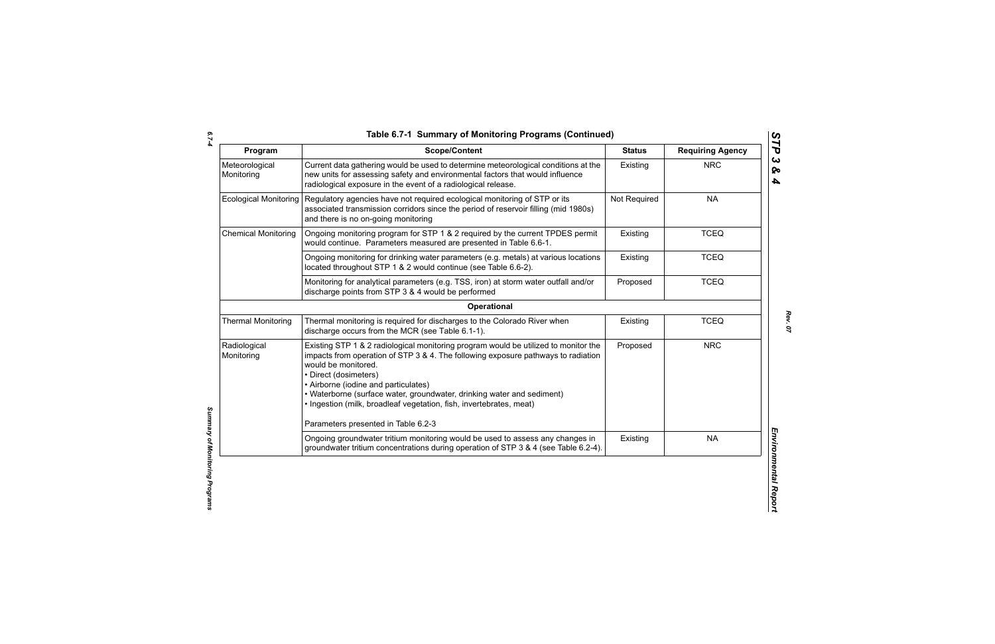*6.7-4*

| Program                      | <b>Scope/Content</b>                                                                                                                                                                                                                                                                                                                                                                                              | <b>Status</b> | <b>Requiring Agency</b> |
|------------------------------|-------------------------------------------------------------------------------------------------------------------------------------------------------------------------------------------------------------------------------------------------------------------------------------------------------------------------------------------------------------------------------------------------------------------|---------------|-------------------------|
| Meteorological<br>Monitoring | Current data gathering would be used to determine meteorological conditions at the<br>new units for assessing safety and environmental factors that would influence<br>radiological exposure in the event of a radiological release.                                                                                                                                                                              | Existing      | <b>NRC</b>              |
| <b>Ecological Monitoring</b> | Regulatory agencies have not required ecological monitoring of STP or its<br>associated transmission corridors since the period of reservoir filling (mid 1980s)<br>and there is no on-going monitoring                                                                                                                                                                                                           | Not Required  | <b>NA</b>               |
| <b>Chemical Monitoring</b>   | Ongoing monitoring program for STP 1 & 2 required by the current TPDES permit<br>would continue. Parameters measured are presented in Table 6.6-1.                                                                                                                                                                                                                                                                | Existing      | <b>TCEQ</b>             |
|                              | Ongoing monitoring for drinking water parameters (e.g. metals) at various locations<br>located throughout STP 1 & 2 would continue (see Table 6.6-2).                                                                                                                                                                                                                                                             | Existing      | <b>TCEQ</b>             |
|                              | Monitoring for analytical parameters (e.g. TSS, iron) at storm water outfall and/or<br>discharge points from STP 3 & 4 would be performed                                                                                                                                                                                                                                                                         | Proposed      | <b>TCEQ</b>             |
|                              | Operational                                                                                                                                                                                                                                                                                                                                                                                                       |               |                         |
| <b>Thermal Monitoring</b>    | Thermal monitoring is required for discharges to the Colorado River when<br>discharge occurs from the MCR (see Table 6.1-1).                                                                                                                                                                                                                                                                                      | Existing      | <b>TCEQ</b>             |
| Radiological<br>Monitoring   | Existing STP 1 & 2 radiological monitoring program would be utilized to monitor the<br>impacts from operation of STP 3 & 4. The following exposure pathways to radiation<br>would be monitored.<br>• Direct (dosimeters)<br>• Airborne (iodine and particulates)<br>• Waterborne (surface water, groundwater, drinking water and sediment)<br>· Ingestion (milk, broadleaf vegetation, fish, invertebrates, meat) | Proposed      | <b>NRC</b>              |
|                              | Parameters presented in Table 6.2-3                                                                                                                                                                                                                                                                                                                                                                               |               |                         |
|                              | Ongoing groundwater tritium monitoring would be used to assess any changes in<br>groundwater tritium concentrations during operation of STP 3 & 4 (see Table 6.2-4).                                                                                                                                                                                                                                              | Existing      | <b>NA</b>               |

*Summary of Monitoring Programs*